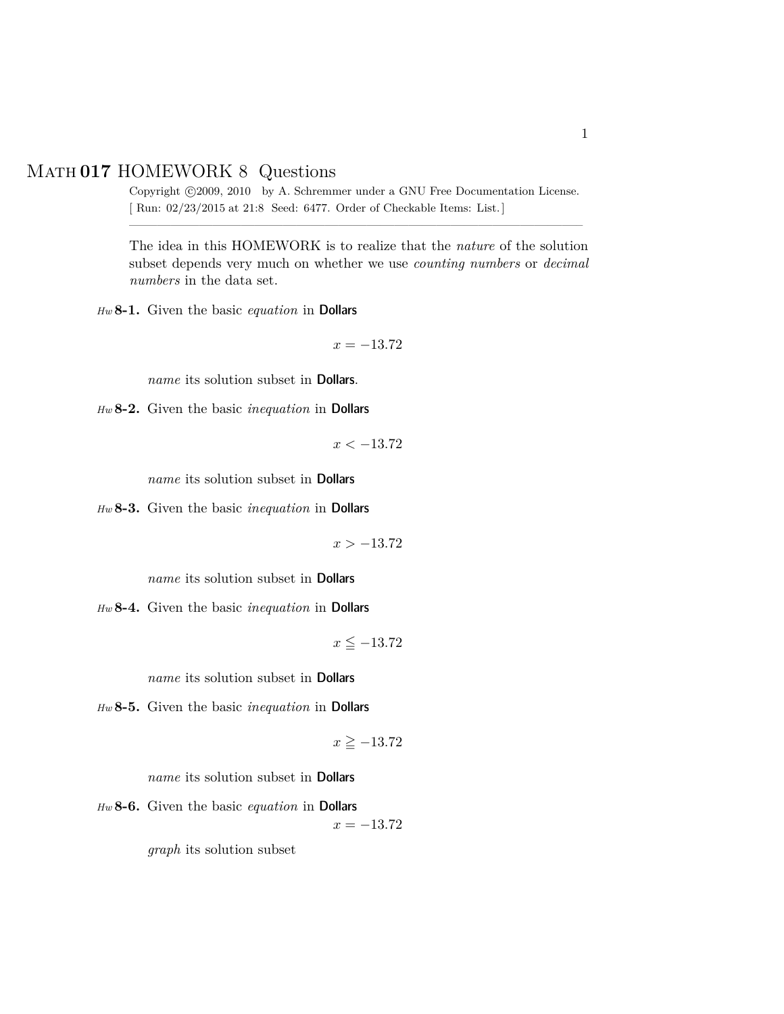## Math **017** HOMEWORK 8 Questions

Copyright ©2009, 2010 by A. Schremmer under a GNU Free Documentation License. [ Run: 02/23/2015 at 21:8 Seed: 6477. Order of Checkable Items: List.] ————————————————————————————————–

The idea in this HOMEWORK is to realize that the *nature* of the solution subset depends very much on whether we use *counting numbers* or *decimal numbers* in the data set.

*Hw* **8-1.** Given the basic *equation* in Dollars

$$
x = -13.72
$$

*name* its solution subset in Dollars.

*Hw* **8-2.** Given the basic *inequation* in Dollars

$$
x < -13.72
$$

*name* its solution subset in Dollars

*Hw* **8-3.** Given the basic *inequation* in Dollars

*x >* −13.72

*name* its solution subset in Dollars

*Hw* **8-4.** Given the basic *inequation* in Dollars

$$
x \leq -13.72
$$

*name* its solution subset in Dollars

*Hw* **8-5.** Given the basic *inequation* in Dollars

$$
x \ge -13.72
$$

*name* its solution subset in **Dollars** 

*Hw* **8-6.** Given the basic *equation* in Dollars

 $x = -13.72$ 

*graph* its solution subset